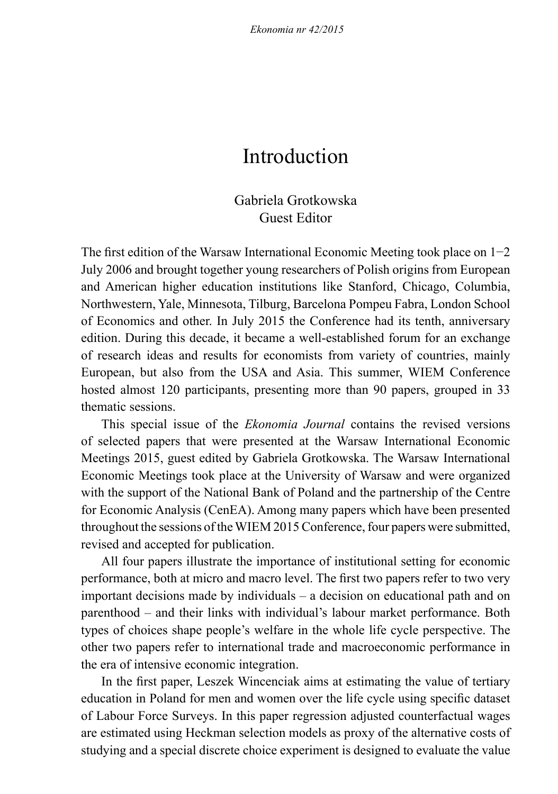# Introduction

## Gabriela Grotkowska Guest Editor

The first edition of the Warsaw International Economic Meeting took place on 1−2 July 2006 and brought together young researchers of Polish origins from European and American higher education institutions like Stanford, Chicago, Columbia, Northwestern, Yale, Minnesota, Tilburg, Barcelona Pompeu Fabra, London School of Economics and other. In July 2015 the Conference had its tenth, anniversary edition. During this decade, it became a well-established forum for an exchange of research ideas and results for economists from variety of countries, mainly European, but also from the USA and Asia. This summer, WIEM Conference hosted almost 120 participants, presenting more than 90 papers, grouped in 33 thematic sessions.

This special issue of the *Ekonomia Journal* contains the revised versions of selected papers that were presented at the Warsaw International Economic Meetings 2015, guest edited by Gabriela Grotkowska. The Warsaw International Economic Meetings took place at the University of Warsaw and were organized with the support of the National Bank of Poland and the partnership of the Centre for Economic Analysis (CenEA). Among many papers which have been presented throughout the sessions of the WIEM 2015 Conference, four papers were submitted, revised and accepted for publication.

All four papers illustrate the importance of institutional setting for economic performance, both at micro and macro level. The first two papers refer to two very important decisions made by individuals – a decision on educational path and on parenthood – and their links with individual's labour market performance. Both types of choices shape people's welfare in the whole life cycle perspective. The other two papers refer to international trade and macroeconomic performance in the era of intensive economic integration.

In the first paper, Leszek Wincenciak aims at estimating the value of tertiary education in Poland for men and women over the life cycle using specific dataset of Labour Force Surveys. In this paper regression adjusted counterfactual wages are estimated using Heckman selection models as proxy of the alternative costs of studying and a special discrete choice experiment is designed to evaluate the value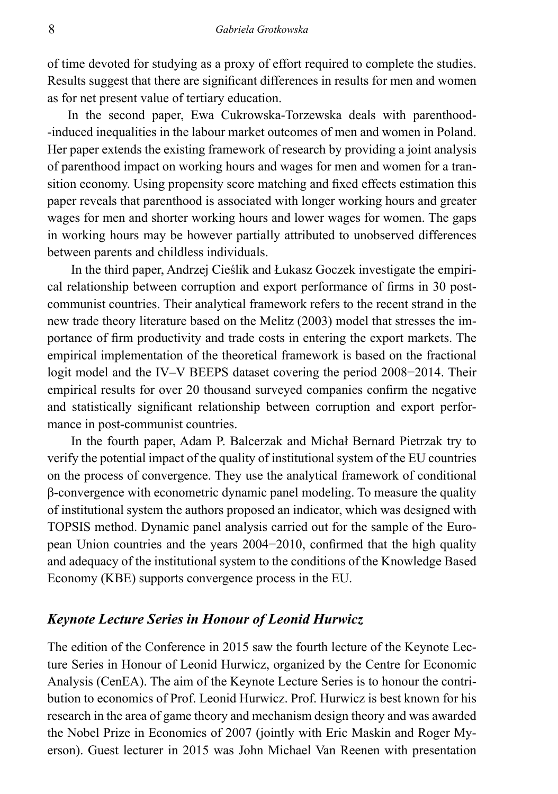of time devoted for studying as a proxy of effort required to complete the studies. Results suggest that there are significant differences in results for men and women as for net present value of tertiary education.

In the second paper, Ewa Cukrowska-Torzewska deals with parenthood- -induced inequalities in the labour market outcomes of men and women in Poland. Her paper extends the existing framework of research by providing a joint analysis of parenthood impact on working hours and wages for men and women for a transition economy. Using propensity score matching and fixed effects estimation this paper reveals that parenthood is associated with longer working hours and greater wages for men and shorter working hours and lower wages for women. The gaps in working hours may be however partially attributed to unobserved differences between parents and childless individuals.

In the third paper, Andrzej Cieślik and Łukasz Goczek investigate the empirical relationship between corruption and export performance of firms in 30 postcommunist countries. Their analytical framework refers to the recent strand in the new trade theory literature based on the Melitz (2003) model that stresses the importance of firm productivity and trade costs in entering the export markets. The empirical implementation of the theoretical framework is based on the fractional logit model and the IV–V BEEPS dataset covering the period 2008−2014. Their empirical results for over 20 thousand surveyed companies confirm the negative and statistically significant relationship between corruption and export performance in post-communist countries.

In the fourth paper, Adam P. Balcerzak and Michał Bernard Pietrzak try to verify the potential impact of the quality of institutional system of the EU countries on the process of convergence. They use the analytical framework of conditional β-convergence with econometric dynamic panel modeling. To measure the quality of institutional system the authors proposed an indicator, which was designed with TOPSIS method. Dynamic panel analysis carried out for the sample of the European Union countries and the years 2004−2010, confirmed that the high quality and adequacy of the institutional system to the conditions of the Knowledge Based Economy (KBE) supports convergence process in the EU.

#### *Keynote Lecture Series in Honour of Leonid Hurwicz*

The edition of the Conference in 2015 saw the fourth lecture of the Keynote Lecture Series in Honour of Leonid Hurwicz, organized by the Centre for Economic Analysis (CenEA). The aim of the Keynote Lecture Series is to honour the contribution to economics of Prof. Leonid Hurwicz. Prof. Hurwicz is best known for his research in the area of game theory and mechanism design theory and was awarded the Nobel Prize in Economics of 2007 (jointly with Eric Maskin and Roger Myerson). Guest lecturer in 2015 was John Michael Van Reenen with presentation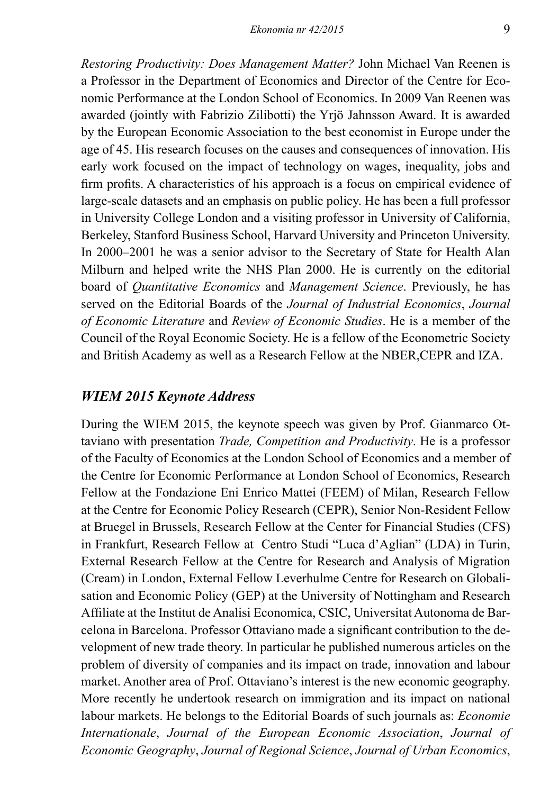*Restoring Productivity: Does Management Matter?* John Michael Van Reenen is a Professor in the Department of Economics and Director of the Centre for Economic Performance at the London School of Economics. In 2009 Van Reenen was awarded (jointly with Fabrizio Zilibotti) the Yrjö Jahnsson Award. It is awarded by the European Economic Association to the best economist in Europe under the age of 45. His research focuses on the causes and consequences of innovation. His early work focused on the impact of technology on wages, inequality, jobs and firm profits. A characteristics of his approach is a focus on empirical evidence of large-scale datasets and an emphasis on public policy. He has been a full professor in University College London and a visiting professor in University of California, Berkeley, Stanford Business School, Harvard University and Princeton University. In 2000–2001 he was a senior advisor to the Secretary of State for Health Alan Milburn and helped write the NHS Plan 2000. He is currently on the editorial board of *Quantitative Economics* and *Management Science*. Previously, he has served on the Editorial Boards of the *Journal of Industrial Economics*, *Journal of Economic Literature* and *Review of Economic Studies*. He is a member of the Council of the Royal Economic Society. He is a fellow of the Econometric Society and British Academy as well as a Research Fellow at the NBER,CEPR and IZA.

### *WIEM 2015 Keynote Address*

During the WIEM 2015, the keynote speech was given by Prof. Gianmarco Ottaviano with presentation *Trade, Competition and Productivity*. He is a professor of the Faculty of Economics at the London School of Economics and a member of the Centre for Economic Performance at London School of Economics, Research Fellow at the Fondazione Eni Enrico Mattei (FEEM) of Milan, Research Fellow at the Centre for Economic Policy Research (CEPR), Senior Non-Resident Fellow at Bruegel in Brussels, Research Fellow at the Center for Financial Studies (CFS) in Frankfurt, Research Fellow at Centro Studi "Luca d'Aglian" (LDA) in Turin, External Research Fellow at the Centre for Research and Analysis of Migration (Cream) in London, External Fellow Leverhulme Centre for Research on Globalisation and Economic Policy (GEP) at the University of Nottingham and Research Affiliate at the Institut de Analisi Economica, CSIC, Universitat Autonoma de Barcelona in Barcelona. Professor Ottaviano made a significant contribution to the development of new trade theory. In particular he published numerous articles on the problem of diversity of companies and its impact on trade, innovation and labour market. Another area of Prof. Ottaviano's interest is the new economic geography. More recently he undertook research on immigration and its impact on national labour markets. He belongs to the Editorial Boards of such journals as: *Economie Internationale*, *Journal of the European Economic Association*, *Journal of Economic Geography*, *Journal of Regional Science*, *Journal of Urban Economics*,